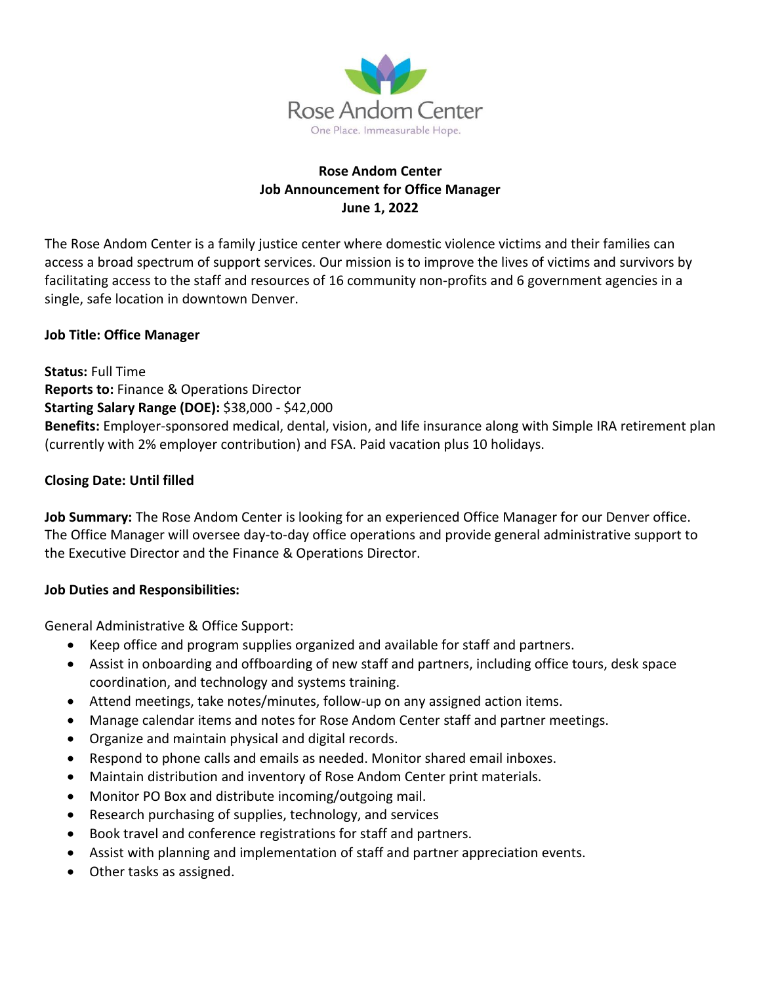

### **Rose Andom Center Job Announcement for Office Manager June 1, 2022**

The Rose Andom Center is a family justice center where domestic violence victims and their families can access a broad spectrum of support services. Our mission is to improve the lives of victims and survivors by facilitating access to the staff and resources of 16 community non-profits and 6 government agencies in a single, safe location in downtown Denver.

### **Job Title: Office Manager**

**Status:** Full Time **Reports to:** Finance & Operations Director **Starting Salary Range (DOE):** \$38,000 - \$42,000 **Benefits:** Employer-sponsored medical, dental, vision, and life insurance along with Simple IRA retirement plan (currently with 2% employer contribution) and FSA. Paid vacation plus 10 holidays.

#### **Closing Date: Until filled**

**Job Summary:** The Rose Andom Center is looking for an experienced Office Manager for our Denver office. The Office Manager will oversee day-to-day office operations and provide general administrative support to the Executive Director and the Finance & Operations Director.

#### **Job Duties and Responsibilities:**

General Administrative & Office Support:

- Keep office and program supplies organized and available for staff and partners.
- Assist in onboarding and offboarding of new staff and partners, including office tours, desk space coordination, and technology and systems training.
- Attend meetings, take notes/minutes, follow-up on any assigned action items.
- Manage calendar items and notes for Rose Andom Center staff and partner meetings.
- Organize and maintain physical and digital records.
- Respond to phone calls and emails as needed. Monitor shared email inboxes.
- Maintain distribution and inventory of Rose Andom Center print materials.
- Monitor PO Box and distribute incoming/outgoing mail.
- Research purchasing of supplies, technology, and services
- Book travel and conference registrations for staff and partners.
- Assist with planning and implementation of staff and partner appreciation events.
- Other tasks as assigned.